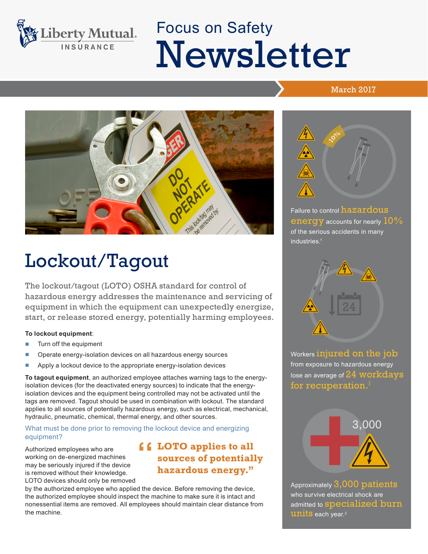

# Focus on Safety Newsletter

#### March 2017



## Lockout/Tagout

The lockout/tagout (LOTO) OSHA standard for control of hazardous energy addresses the maintenance and servicing of equipment in which the equipment can unexpectedly energize, start, or release stored energy, potentially harming employees.

#### **To lockout equipment**:

- Turn off the equipment
- Operate energy-isolation devices on all hazardous energy sources
- Apply a lockout device to the appropriate energy-isolation devices

**To tagout equipment**, an authorized employee attaches warning tags to the energyisolation devices (for the deactivated energy sources) to indicate that the energyisolation devices and the equipment being controlled may not be activated until the tags are removed. Tagout should be used in combination with lockout. The standard applies to all sources of potentially hazardous energy, such as electrical, mechanical, hydraulic, pneumatic, chemical, thermal energy, and other sources.

What must be done prior to removing the lockout device and energizing equipment?

Authorized employees who are working on de-energized machines may be seriously injured if the device is removed without their knowledge. LOTO devices should only be removed

### **LOTO applies to all<br>
sources of potentially<br>
hazardous anorgy" sources of potentially hazardous energy."**

by the authorized employee who applied the device. Before removing the device, the authorized employee should inspect the machine to make sure it is intact and nonessential items are removed. All employees should maintain clear distance from the machine.



Failure to control hazardous energy accounts for nearly  $10\%$ of the serious accidents in many industries.<sup>1</sup>



Workers injured on the job from exposure to hazardous energy lose an average of  $24$  workdays for recuperation. $^{\rm I}$ 



Approximately 3,000 patients who survive electrical shock are admitted to **specialized** burn **units** each year.<sup>2</sup>